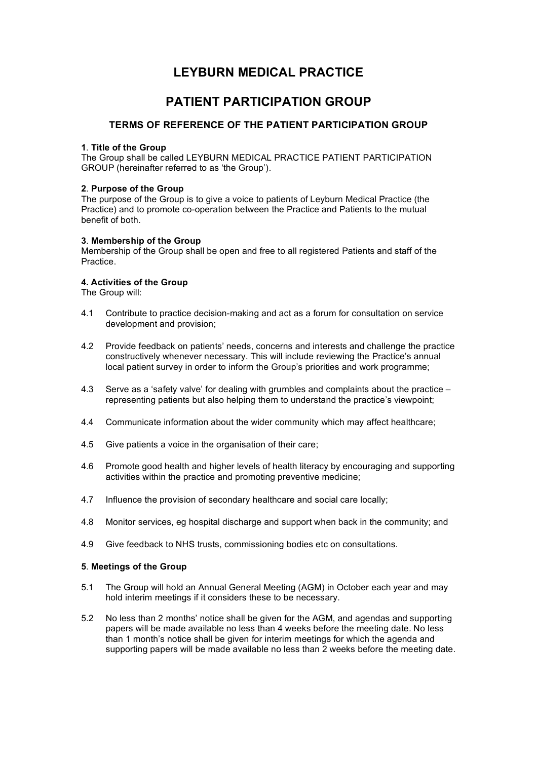# **LEYBURN MEDICAL PRACTICE**

# **PATIENT PARTICIPATION GROUP**

### **TERMS OF REFERENCE OF THE PATIENT PARTICIPATION GROUP**

#### **1**. **Title of the Group**

The Group shall be called LEYBURN MEDICAL PRACTICE PATIENT PARTICIPATION GROUP (hereinafter referred to as 'the Group').

#### **2**. **Purpose of the Group**

The purpose of the Group is to give a voice to patients of Leyburn Medical Practice (the Practice) and to promote co-operation between the Practice and Patients to the mutual benefit of both.

#### **3**. **Membership of the Group**

Membership of the Group shall be open and free to all registered Patients and staff of the Practice.

#### **4. Activities of the Group**

The Group will:

- 4.1 Contribute to practice decision-making and act as a forum for consultation on service development and provision;
- 4.2 Provide feedback on patients' needs, concerns and interests and challenge the practice constructively whenever necessary. This will include reviewing the Practice's annual local patient survey in order to inform the Group's priorities and work programme;
- 4.3 Serve as a 'safety valve' for dealing with grumbles and complaints about the practice representing patients but also helping them to understand the practice's viewpoint;
- 4.4 Communicate information about the wider community which may affect healthcare;
- 4.5 Give patients a voice in the organisation of their care;
- 4.6 Promote good health and higher levels of health literacy by encouraging and supporting activities within the practice and promoting preventive medicine;
- 4.7 Influence the provision of secondary healthcare and social care locally;
- 4.8 Monitor services, eg hospital discharge and support when back in the community; and
- 4.9 Give feedback to NHS trusts, commissioning bodies etc on consultations.

#### **5**. **Meetings of the Group**

- 5.1 The Group will hold an Annual General Meeting (AGM) in October each year and may hold interim meetings if it considers these to be necessary.
- 5.2 No less than 2 months' notice shall be given for the AGM, and agendas and supporting papers will be made available no less than 4 weeks before the meeting date. No less than 1 month's notice shall be given for interim meetings for which the agenda and supporting papers will be made available no less than 2 weeks before the meeting date.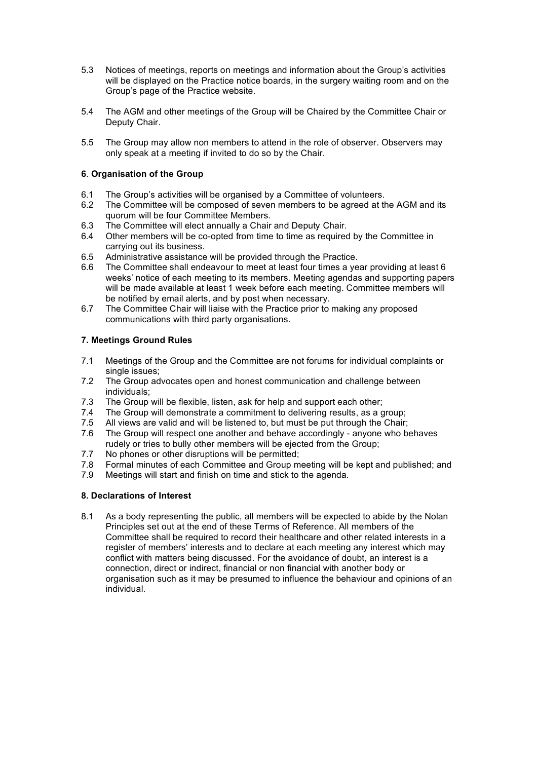- 5.3 Notices of meetings, reports on meetings and information about the Group's activities will be displayed on the Practice notice boards, in the surgery waiting room and on the Group's page of the Practice website.
- 5.4 The AGM and other meetings of the Group will be Chaired by the Committee Chair or Deputy Chair.
- 5.5 The Group may allow non members to attend in the role of observer. Observers may only speak at a meeting if invited to do so by the Chair.

#### **6**. **Organisation of the Group**

- 6.1 The Group's activities will be organised by a Committee of volunteers.
- 6.2 The Committee will be composed of seven members to be agreed at the AGM and its quorum will be four Committee Members.
- 6.3 The Committee will elect annually a Chair and Deputy Chair.
- 6.4 Other members will be co-opted from time to time as required by the Committee in carrying out its business.
- 6.5 Administrative assistance will be provided through the Practice.
- 6.6 The Committee shall endeavour to meet at least four times a year providing at least 6 weeks' notice of each meeting to its members. Meeting agendas and supporting papers will be made available at least 1 week before each meeting. Committee members will be notified by email alerts, and by post when necessary.
- 6.7 The Committee Chair will liaise with the Practice prior to making any proposed communications with third party organisations.

#### **7. Meetings Ground Rules**

- 7.1 Meetings of the Group and the Committee are not forums for individual complaints or single issues;
- 7.2 The Group advocates open and honest communication and challenge between individuals;
- 7.3 The Group will be flexible, listen, ask for help and support each other;
- 7.4 The Group will demonstrate a commitment to delivering results, as a group;
- 7.5 All views are valid and will be listened to, but must be put through the Chair;
- 7.6 The Group will respect one another and behave accordingly anyone who behaves rudely or tries to bully other members will be ejected from the Group;
- 7.7 No phones or other disruptions will be permitted;
- 7.8 Formal minutes of each Committee and Group meeting will be kept and published; and
- 7.9 Meetings will start and finish on time and stick to the agenda.

#### **8. Declarations of Interest**

8.1 As a body representing the public, all members will be expected to abide by the Nolan Principles set out at the end of these Terms of Reference. All members of the Committee shall be required to record their healthcare and other related interests in a register of members' interests and to declare at each meeting any interest which may conflict with matters being discussed. For the avoidance of doubt, an interest is a connection, direct or indirect, financial or non financial with another body or organisation such as it may be presumed to influence the behaviour and opinions of an individual.